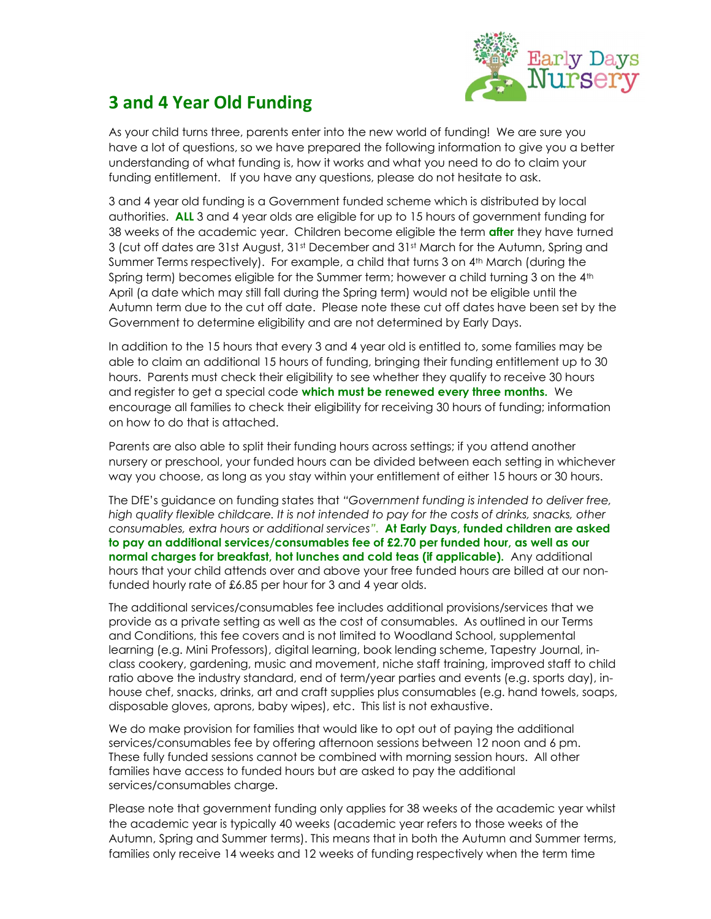

## 3 and 4 Year Old Funding

As your child turns three, parents enter into the new world of funding! We are sure you have a lot of questions, so we have prepared the following information to give you a better understanding of what funding is, how it works and what you need to do to claim your funding entitlement. If you have any questions, please do not hesitate to ask.

3 and 4 year old funding is a Government funded scheme which is distributed by local authorities. ALL 3 and 4 year olds are eligible for up to 15 hours of government funding for 38 weeks of the academic year. Children become eligible the term **after** they have turned 3 (cut off dates are 31st August, 31st December and 31st March for the Autumn, Spring and Summer Terms respectively). For example, a child that turns 3 on 4th March (during the Spring term) becomes eligible for the Summer term; however a child turning 3 on the 4<sup>th</sup> April (a date which may still fall during the Spring term) would not be eligible until the Autumn term due to the cut off date. Please note these cut off dates have been set by the Government to determine eligibility and are not determined by Early Days.

In addition to the 15 hours that every 3 and 4 year old is entitled to, some families may be able to claim an additional 15 hours of funding, bringing their funding entitlement up to 30 hours. Parents must check their eligibility to see whether they qualify to receive 30 hours and register to get a special code which must be renewed every three months. We encourage all families to check their eligibility for receiving 30 hours of funding; information on how to do that is attached.

Parents are also able to split their funding hours across settings; if you attend another nursery or preschool, your funded hours can be divided between each setting in whichever way you choose, as long as you stay within your entitlement of either 15 hours or 30 hours.

The DfE's guidance on funding states that "Government funding is intended to deliver free, high quality flexible childcare. It is not intended to pay for the costs of drinks, snacks, other consumables, extra hours or additional services". At Early Days, funded children are asked to pay an additional services/consumables fee of £2.70 per funded hour, as well as our normal charges for breakfast, hot lunches and cold teas (if applicable). Any additional hours that your child attends over and above your free funded hours are billed at our nonfunded hourly rate of £6.85 per hour for 3 and 4 year olds.

The additional services/consumables fee includes additional provisions/services that we provide as a private setting as well as the cost of consumables. As outlined in our Terms and Conditions, this fee covers and is not limited to Woodland School, supplemental learning (e.g. Mini Professors), digital learning, book lending scheme, Tapestry Journal, inclass cookery, gardening, music and movement, niche staff training, improved staff to child ratio above the industry standard, end of term/year parties and events (e.g. sports day), inhouse chef, snacks, drinks, art and craft supplies plus consumables (e.g. hand towels, soaps, disposable gloves, aprons, baby wipes), etc. This list is not exhaustive.

We do make provision for families that would like to opt out of paying the additional services/consumables fee by offering afternoon sessions between 12 noon and 6 pm. These fully funded sessions cannot be combined with morning session hours. All other families have access to funded hours but are asked to pay the additional services/consumables charge.

Please note that government funding only applies for 38 weeks of the academic year whilst the academic year is typically 40 weeks (academic year refers to those weeks of the Autumn, Spring and Summer terms). This means that in both the Autumn and Summer terms, families only receive 14 weeks and 12 weeks of funding respectively when the term time